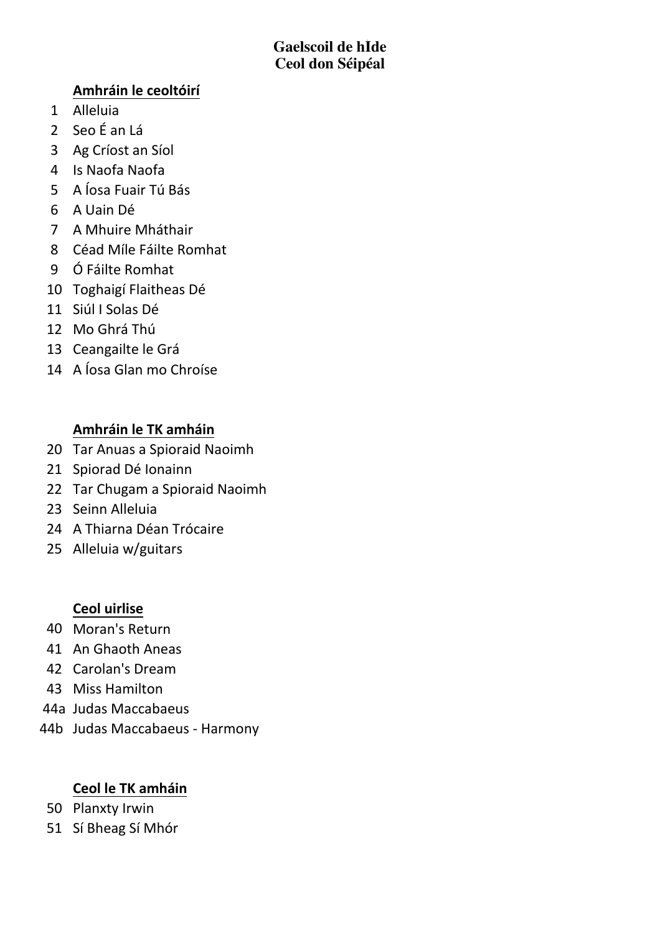# **Amhráin le ceoltóirí**

- 1 Alleluia
- 2 Seo É an Lá
- 3 Ag Críost an Síol
- 4 Is Naofa Naofa
- 5 A Íosa Fuair Tú Bás
- 6 A Uain Dé
- 7 A Mhuire Mháthair
- 8 Céad Míle Fáilte Romhat
- 9 Ó Fáilte Romhat
- 10 Toghaigí Flaitheas Dé
- 11 Siúl I Solas Dé
- 12 Mo Ghrá Thú
- 13 Ceangailte le Grá
- 14 A Íosa Glan mo Chroíse

# **Amhráin le TK amháin**

- 20 Tar Anuas a Spioraid Naoimh
- 21 Spiorad Dé Ionainn
- 22 Tar Chugam a Spioraid Naoimh
- 23 Seinn Alleluia
- 24 A Thiarna Déan Trócaire
- 25 Alleluia w/guitars

# **Ceol uirlise**

- 40 Moran's Return
- 41 An Ghaoth Aneas
- 42 Carolan's Dream
- 43 Miss Hamilton
- 44a Judas+Maccabaeus
- 44b Judas Maccabaeus Harmony

# **Ceol le TK amháin**

- 50 Planxty Irwin
- 51 Sí Bheag Sí Mhór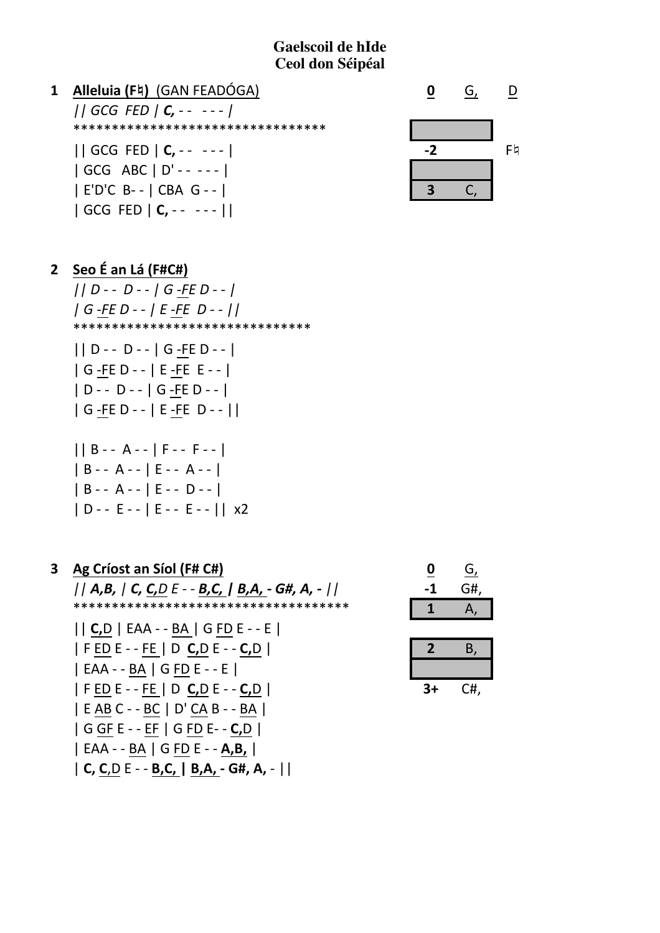

 $\mathbf{0}$ G,  $\mathsf D$  $-2$  $F\natural$  $C$  $\overline{\mathbf{3}}$ 

> G, G#, Α,

> > **B.**

 $C#$ ,

| E'D'C B-- | CBA G-- |  $| GCG FED | C, -- -- | |$ 

2 Seo É an Lá (F#C#)

 $||D - D - |G - FE - |$  $|G$  -FE D - -  $|E$  -FE D - -  $|$ \*\*\*\*\*\*\*\*\*\*\*\*\*\*\*\*\*\*\*\*\*\*\*\*\*\*\*\*\*\*\*

 $||D - - D - - |G - FE - - |$  $|G - FE D - - |E - FE E - - |$  $|D - - D - - |G - FE D - - |$ | G -FE D - - | E -FE D - - ||

| B - - A - -   F - - F - -       |  |
|---------------------------------|--|
| B - - A - -   E - - A - -       |  |
| B - - A - -   E - - D - -       |  |
| D - - E - -   E - - E - -    x2 |  |

| 3 | Ag Críost an Síol (F# C#)                       |    |
|---|-------------------------------------------------|----|
|   | $  A,B,  C, C, D E - B, C,  B,A, - G#, A, -   $ | -1 |
|   | *************************************           |    |
|   |                                                 |    |
|   | F ED E - - FE   D <b>C,</b> D E - - <b>C,</b> D |    |
|   | EAA - - BA   G FD E - - E                       |    |
|   | F ED E - - FE   D <b>C,</b> D E - - <b>C,</b> D | 3+ |
|   | E AB C - - BC   D' CA B - - BA                  |    |
|   |                                                 |    |
|   | EAA - - BA   G FD E - - <b>A,B,</b>             |    |

| C, C, D E - - B, C, | B, A, - G#, A, - ||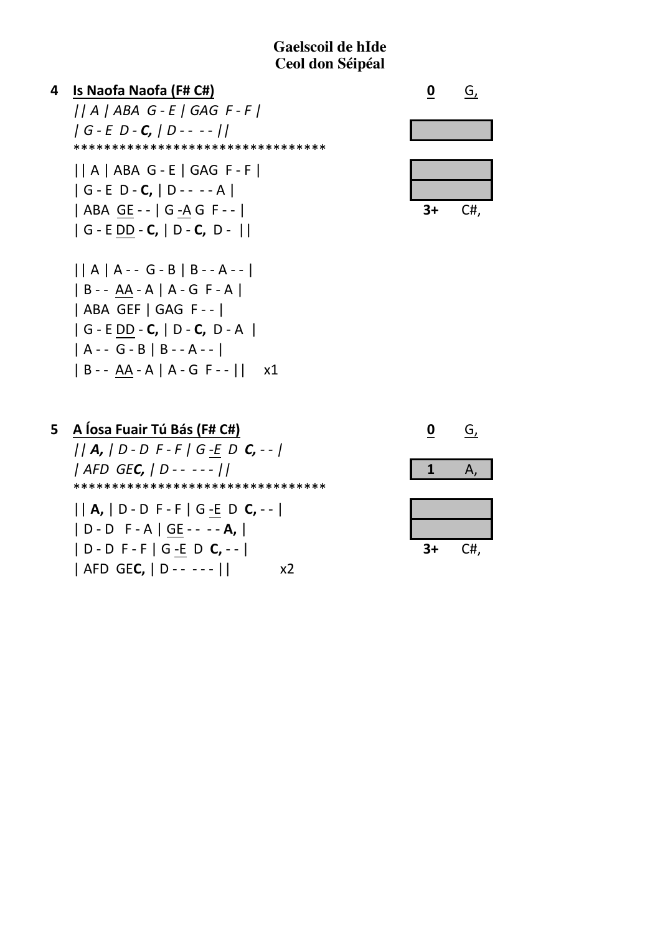



| 5 A Íosa Fuair Tú Bás (F# C#)                       |
|-----------------------------------------------------|
| $  A,  D - D F - F  G - E D C, -  $                 |
| AFD GE <b>C</b> , $ D - - - -  $                    |
| *********************************                   |
| $  A,  D - D F - F  G - E D C, -$                   |
| D - D F - A   GE - - - - <b>A,</b>                  |
| $ D-DF-F G-EDC, -- $                                |
| AFD GE <b>C,</b>   D - - - - -   <br>x <sub>2</sub> |
|                                                     |

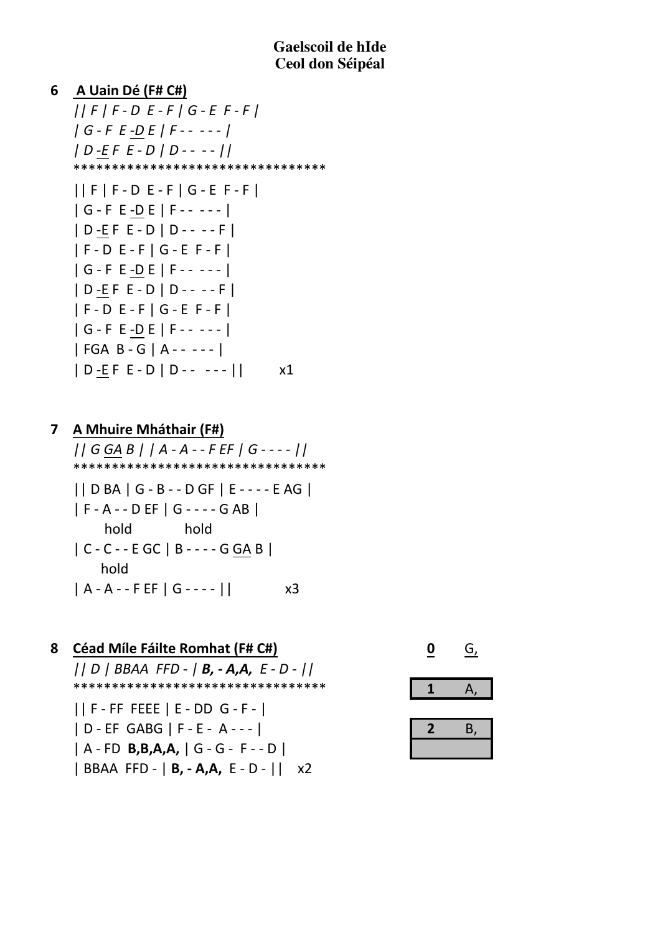# A Uain Dé (F# C#) 6  $||F|F-DE-F|G-EF-F|$  $|G - F E - DE | F - - - - |$  $|D - EF E - D | D - - - |$ \*\*\*\*\*\*\*\*\*\*\*\*\*\*\*\*\*\*\*\*\*\*\*\*\*\*\*\*\*\*\*\*\*  $||F|F-DE-F|G-EF-F|$  $|G - F E - DE | F - - - - |$  $|D-EF E-D|D---F|$  $|F-DE-F|G-EF-F|$  $|G - F E - DE | F - - - - |$  $|D-EF E-D|D---F|$  $|F-DE-F|G-EF-F|$  $|G - F E - DE | F - - - - |$  $|FGA B - G | A - - - - |$  $|D-EF E-D|D---|$  $x1$

A Mhuire Mháthair (F#)  $\overline{\mathbf{z}}$  $||GGAB||A-A-FEF|G---||$ \*\*\*\*\*\*\*\*\*\*\*\*\*\*\*\*\*\*\*\*\*\*\*\*\*\*\*\*\*\*\*\*\*  $||DBA|G-B--DGF|E---EAG|$ | F - A - - D EF | G - - - - G AB | hold hold  $|C - C - E GC | B - - - G GA B|$ hold  $|A - A - F EF | G - - - |$  $x<sub>3</sub>$ 

**Céad Míle Fáilte Romhat (F# C#)** 8 0 G,  $||D||BBAA$  FFD -  $|B, -A, A, E - D - ||$ \*\*\*\*\*\*\*\*\*\*\*\*\*\*\*\*\*\*\*\*\*\*\*\*\*\*\*\*\*\*\*\*\*  $\mathbf{1}$ Α,  $||F - FF FEEE |E - DD G - F - ||$ | D - EF GABG | F - E - A - - - | Β, 2  $A - FD$  B, B, A, A,  $G - G - F - D$ | BBAA FFD - | **B, - A,A,** E - D - || x2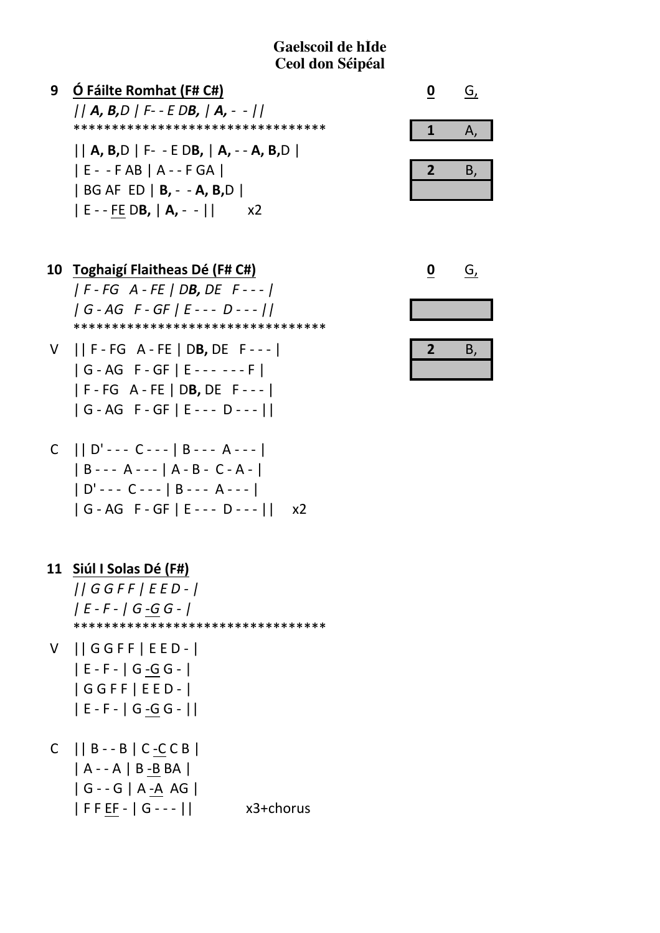| Ó Fáilte Romhat (F# C#)                   |  |
|-------------------------------------------|--|
| $  A, B, D   F - E DB,  A, -  $           |  |
| *********************************         |  |
| $  A, B, D    F - E DB,   A, -A, B, D   $ |  |
| $ E - FAB $ $A - FGA$                     |  |
| $ BGAFED B, -A, B, D $                    |  |
| $ E - FEDB,  A, -  $<br>x2                |  |

10 Toghaigí Flaitheas Dé (F# C#)  $|F-FG A-FE|DB, DE F---|$  $|G - AG F - GF | E---D---1|$ \*\*\*\*\*\*\*\*\*\*\*\*\*\*\*\*\*\*\*\*\*\*\*\*\*\*\*\*\*\*\*\*\*

 $V$  || F - FG A - FE | DB, DE F - - - |  $|G - AG F - GF | E--- - F|$  $|F-FG A-FE|DB, DE F---|$  $|G-AG F-GF|E---D---|$ 

11 Siúl I Solas Dé (F#)  $||GGFF|EED-|$  $|E - F - |G - G - |$ \*\*\*\*\*\*\*\*\*\*\*\*\*\*\*\*\*\*\*\*\*\*\*\*\*\*\*\*\*\*\*\*\*

- V ||GGFF|EED-|  $|E - F - |G - G - |$  $|GGFF|EED-|$  $|E - F - |G - G - |$
- $C$  || B - B | C C C B |  $A - A$  | B - B BA |  $|G - G|$  A -A AG  $|$  $|$  FFEF -  $|$  G - - -  $|$   $|$ x3+chorus

| n | Θ. |
|---|----|
|   |    |

| 2 | В, |
|---|----|
|   |    |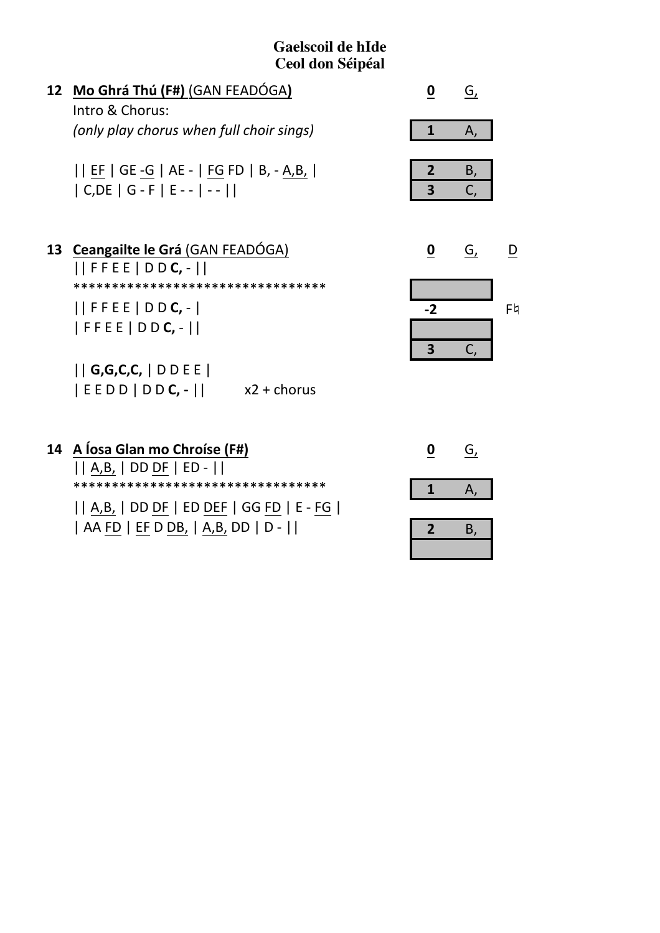$\mathbf{D}%$ 

 $F4$ 

 $\overline{C}$ ,

 $\overline{\mathbf{3}}$ 

| 12 Mo Ghrá Thú (F#) (GAN FEADÓGA)                                                                              |      | G, |
|----------------------------------------------------------------------------------------------------------------|------|----|
| Intro & Chorus:                                                                                                |      |    |
| (only play chorus when full choir sings)                                                                       | 1    | Α, |
| EF   GE -G   AE -   FG FD   B, - A,B,  <br>$  C, DE   G - F   E - -  - -    $                                  | 3    | Β, |
| 13 Ceangailte le Grá (GAN FEADÓGA)<br>$  $ FFEE $ $ DD <b>C</b> , - $  $<br>********************************** | O    | G, |
| $  $ FFEE $ $ D D <b>C</b> , - $ $<br>  F F E E   D D <b>C,</b> -                                              | $-2$ |    |

 $||G,G,C,C, ||DDEE||$  $|EEDD|DDC,-||$  $x2 +$ chorus

| 14 A Íosa Glan mo Chroíse (F#)<br>$   A,B,    DDDF    ED -   $                  |  |
|---------------------------------------------------------------------------------|--|
| *********************************<br>    A,B,   DD DF   ED DEF   GG FD   E - FG |  |
| AA FD   EF D DB,   A,B, DD   D -                                                |  |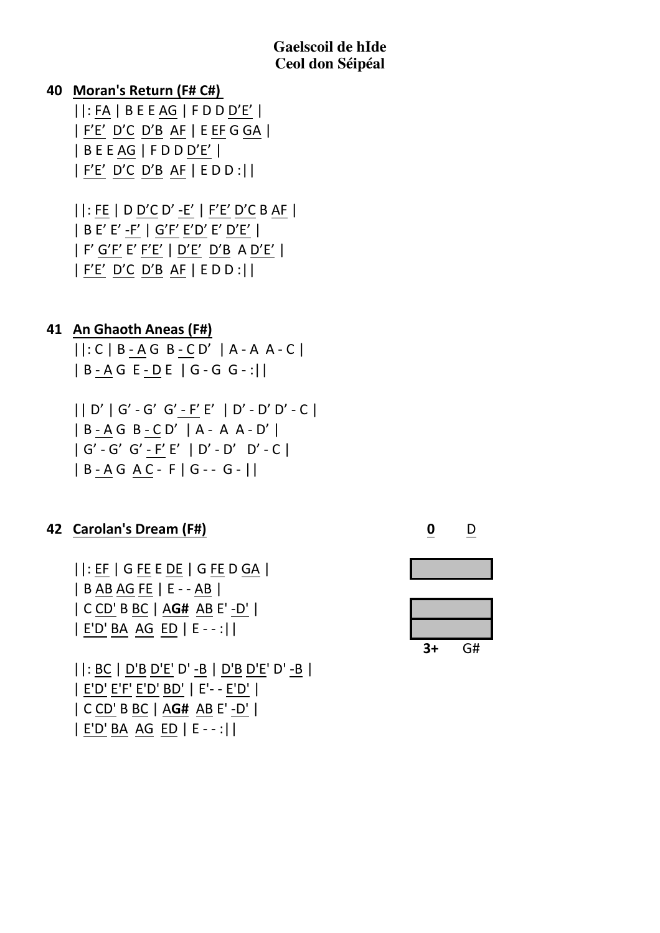### **40 Moran's Return (F# C#)**

 $||:FA|BEEAG|FDDD'E'|$  $|F'E' D'C D'B AF| EEF GGA|$  $|BEEAG|FDDD'E'|$  $|F'E' D'C D'B AF|EDD:||$ 

||:FE | D D'C D' -E' | F'E' D'C B AF | | B E' E' -F' | G'F' E'D' E' D'E' | | F' G'F' E' F'E' | D'E' D'B A D'E' |  $|F'E' D'C D'B AF|EDD:||$ 

#### **41 An Ghaoth Aneas (F#)**

 $|$ : C | B - A G B - C D' | A - A A - C |  $|B-AGE-DE|G-G-G-1|$ 

 $||D'||G'-G'G'-F'E'||D'-D'D'-C||$  $|B-AGB-CD'|A-AA-D'|$  $|G'-G'-G'-F'E'|D'-D' - D' - C|$  $|B-AGAC-F|G--G-||$ 

# **42 Carolan's Dream (F#) 0** D

 $||:EF|GFEDE|GFEDGA|$ | B AB AG FE | E - - AB | |+C+CD'+B+BC+|+A**G#**++AB+E'+YD'+|  $|E'D' BA AG ED |E--:||$  $|$ : BC  $|$  D'B D'E' D' -B  $|$  D'B D'E' D' -B  $|$ | E'D' E'F' E'D' BD' | E'- - E'D' | |+C+CD'+B+BC+|+A**G#**++AB+E'+YD'+|

| E'D' BA AG ED | E - - :||

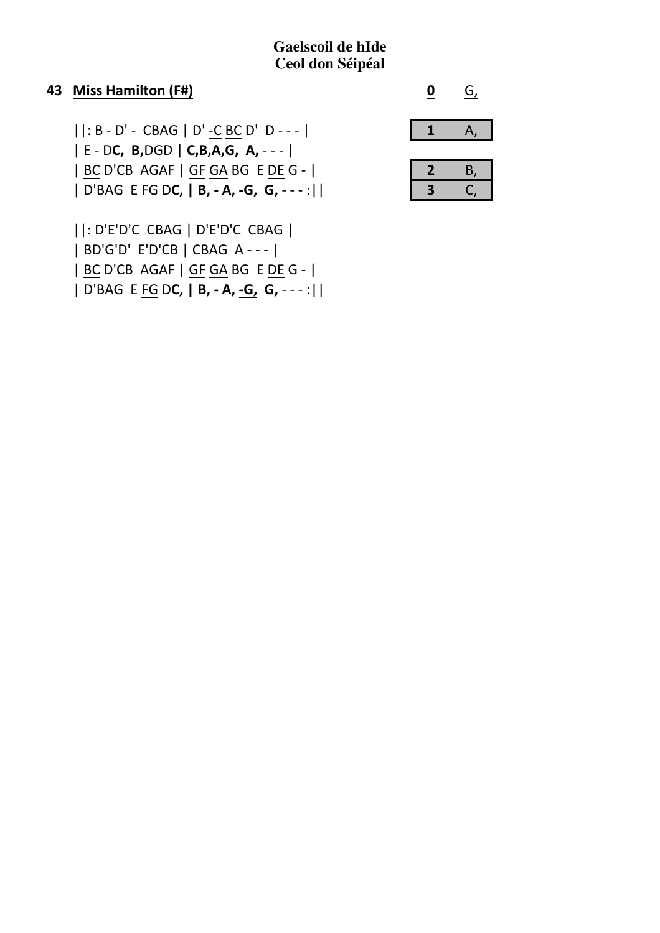#### 43 Miss Hamilton (F#)

 $||: B - D' - CBAG || D' - CBC D' D - - - ||$  $E - DC$ , B,DGD | C,B,A,G, A, - - - | | BC D'CB AGAF | GF GA BG E DE G - | | D'BAG E FG DC, | B, - A, -G, G, - - - :||

||: D'E'D'C CBAG | D'E'D'C CBAG | | BD'G'D' E'D'CB | CBAG A - - - | | BC D'CB AGAF | GF GA BG E DE G - | | D'BAG E FG DC, | B, - A, -G, G, - - - :||



| s | B |
|---|---|
| З |   |